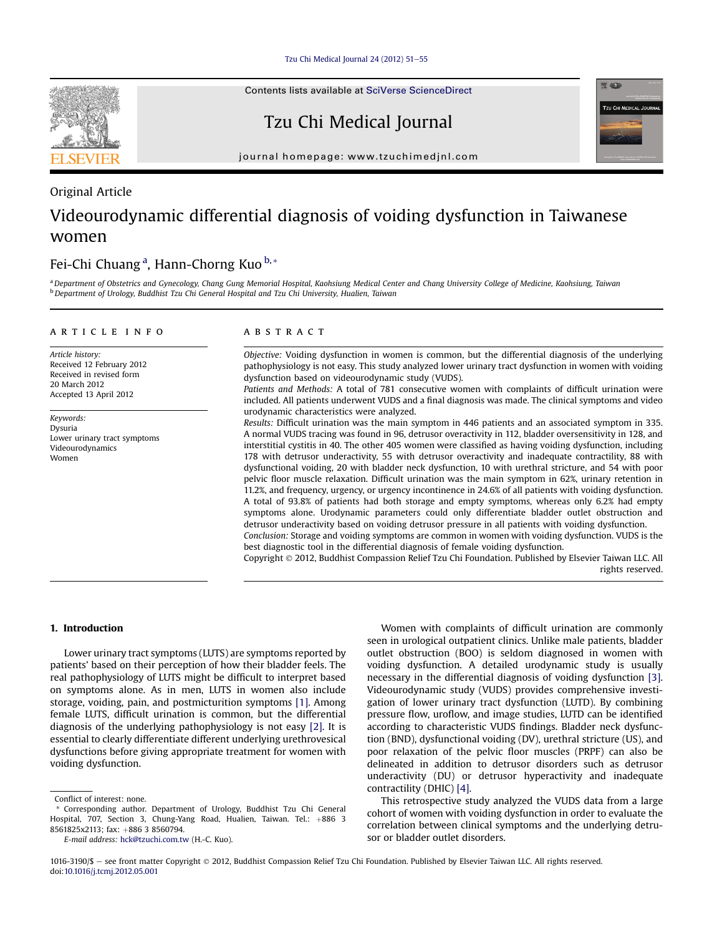Tzu Chi Medical Iournal 24 (2012) 51-[55](http://dx.doi.org/10.1016/j.tcmj.2012.05.001)

Contents lists available at [SciVerse ScienceDirect](www.sciencedirect.com/science/journal/10163190)

Tzu Chi Medical Journal

journal homepage: [www.tzuchimedjnl.com](http://www.tzuchimedjnl.com)

## Original Article

# Videourodynamic differential diagnosis of voiding dysfunction in Taiwanese women

## Fei-Chi Chuang<sup>a</sup>, Hann-Chorng Kuo<sup>b,</sup>\*

a Department of Obstetrics and Gynecology, Chang Gung Memorial Hospital, Kaohsiung Medical Center and Chang University College of Medicine, Kaohsiung, Taiwan <sup>b</sup> Department of Urology, Buddhist Tzu Chi General Hospital and Tzu Chi University, Hualien, Taiwan

#### article info

Article history: Received 12 February 2012 Received in revised form 20 March 2012 Accepted 13 April 2012

Keywords: Dysuria Lower urinary tract symptoms Videourodynamics Women

#### **ABSTRACT**

Objective: Voiding dysfunction in women is common, but the differential diagnosis of the underlying pathophysiology is not easy. This study analyzed lower urinary tract dysfunction in women with voiding dysfunction based on videourodynamic study (VUDS).

Patients and Methods: A total of 781 consecutive women with complaints of difficult urination were included. All patients underwent VUDS and a final diagnosis was made. The clinical symptoms and video urodynamic characteristics were analyzed.

Results: Difficult urination was the main symptom in 446 patients and an associated symptom in 335. A normal VUDS tracing was found in 96, detrusor overactivity in 112, bladder oversensitivity in 128, and interstitial cystitis in 40. The other 405 women were classified as having voiding dysfunction, including 178 with detrusor underactivity, 55 with detrusor overactivity and inadequate contractility, 88 with dysfunctional voiding, 20 with bladder neck dysfunction, 10 with urethral stricture, and 54 with poor pelvic floor muscle relaxation. Difficult urination was the main symptom in 62%, urinary retention in 11.2%, and frequency, urgency, or urgency incontinence in 24.6% of all patients with voiding dysfunction. A total of 93.8% of patients had both storage and empty symptoms, whereas only 6.2% had empty symptoms alone. Urodynamic parameters could only differentiate bladder outlet obstruction and detrusor underactivity based on voiding detrusor pressure in all patients with voiding dysfunction. Conclusion: Storage and voiding symptoms are common in women with voiding dysfunction. VUDS is the

best diagnostic tool in the differential diagnosis of female voiding dysfunction. Copyright 2012, Buddhist Compassion Relief Tzu Chi Foundation. Published by Elsevier Taiwan LLC. All rights reserved.

#### 1. Introduction

Lower urinary tract symptoms (LUTS) are symptoms reported by patients' based on their perception of how their bladder feels. The real pathophysiology of LUTS might be difficult to interpret based on symptoms alone. As in men, LUTS in women also include storage, voiding, pain, and postmicturition symptoms [\[1\].](#page-4-0) Among female LUTS, difficult urination is common, but the differential diagnosis of the underlying pathophysiology is not easy [\[2\].](#page-4-0) It is essential to clearly differentiate different underlying urethrovesical dysfunctions before giving appropriate treatment for women with voiding dysfunction.

E-mail address: [hck@tzuchi.com.tw](mailto:hck@tzuchi.com.tw) (H.-C. Kuo).

Women with complaints of difficult urination are commonly seen in urological outpatient clinics. Unlike male patients, bladder outlet obstruction (BOO) is seldom diagnosed in women with voiding dysfunction. A detailed urodynamic study is usually necessary in the differential diagnosis of voiding dysfunction [\[3\].](#page-4-0) Videourodynamic study (VUDS) provides comprehensive investigation of lower urinary tract dysfunction (LUTD). By combining pressure flow, uroflow, and image studies, LUTD can be identified according to characteristic VUDS findings. Bladder neck dysfunction (BND), dysfunctional voiding (DV), urethral stricture (US), and poor relaxation of the pelvic floor muscles (PRPF) can also be delineated in addition to detrusor disorders such as detrusor underactivity (DU) or detrusor hyperactivity and inadequate contractility (DHIC) [\[4\]](#page-4-0).

This retrospective study analyzed the VUDS data from a large cohort of women with voiding dysfunction in order to evaluate the correlation between clinical symptoms and the underlying detrusor or bladder outlet disorders.





Conflict of interest: none.

Corresponding author. Department of Urology, Buddhist Tzu Chi General Hospital, 707, Section 3, Chung-Yang Road, Hualien, Taiwan. Tel.: +886 3 8561825x2113; fax: +886 3 8560794.

<sup>1016-3190/\$ -</sup> see front matter Copyright © 2012, Buddhist Compassion Relief Tzu Chi Foundation. Published by Elsevier Taiwan LLC. All rights reserved. doi[:10.1016/j.tcmj.2012.05.001](http://dx.doi.org/10.1016/j.tcmj.2012.05.001)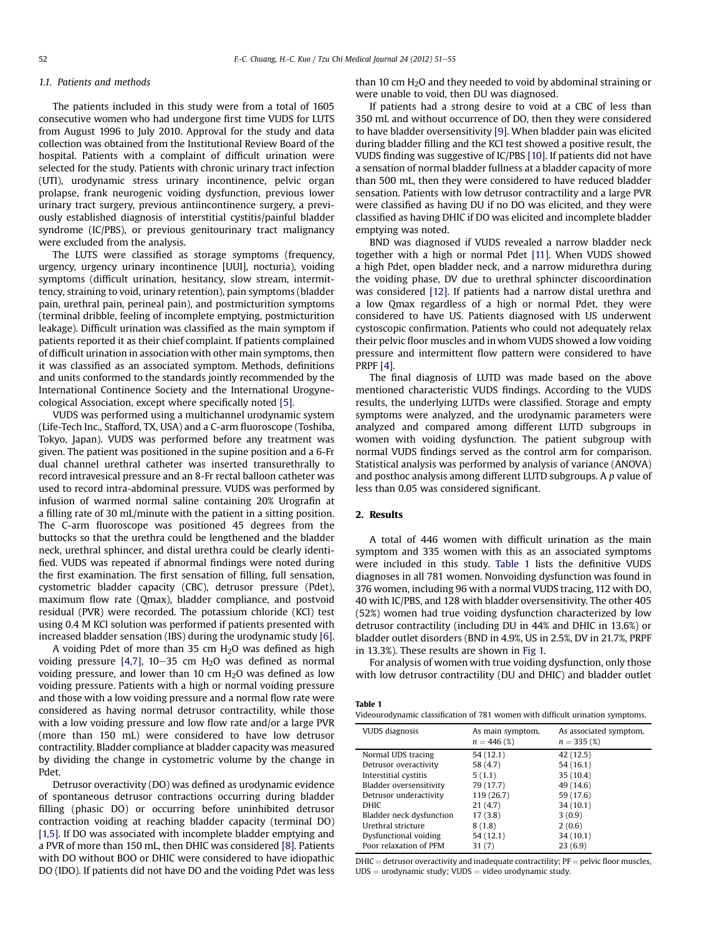#### 11. Patients and methods

The patients included in this study were from a total of 1605 consecutive women who had undergone first time VUDS for LUTS from August 1996 to July 2010. Approval for the study and data collection was obtained from the Institutional Review Board of the hospital. Patients with a complaint of difficult urination were selected for the study. Patients with chronic urinary tract infection (UTI), urodynamic stress urinary incontinence, pelvic organ prolapse, frank neurogenic voiding dysfunction, previous lower urinary tract surgery, previous antiincontinence surgery, a previously established diagnosis of interstitial cystitis/painful bladder syndrome (IC/PBS), or previous genitourinary tract malignancy were excluded from the analysis.

The LUTS were classified as storage symptoms (frequency, urgency, urgency urinary incontinence [UUI], nocturia), voiding symptoms (difficult urination, hesitancy, slow stream, intermittency, straining to void, urinary retention), pain symptoms (bladder pain, urethral pain, perineal pain), and postmicturition symptoms (terminal dribble, feeling of incomplete emptying, postmicturition leakage). Difficult urination was classified as the main symptom if patients reported it as their chief complaint. If patients complained of difficult urination in association with other main symptoms, then it was classified as an associated symptom. Methods, definitions and units conformed to the standards jointly recommended by the International Continence Society and the International Urogynecological Association, except where specifically noted [\[5\]](#page-4-0).

VUDS was performed using a multichannel urodynamic system (Life-Tech Inc., Stafford, TX, USA) and a C-arm fluoroscope (Toshiba, Tokyo, Japan). VUDS was performed before any treatment was given. The patient was positioned in the supine position and a 6-Fr dual channel urethral catheter was inserted transurethrally to record intravesical pressure and an 8-Fr rectal balloon catheter was used to record intra-abdominal pressure. VUDS was performed by infusion of warmed normal saline containing 20% Urografin at a filling rate of 30 mL/minute with the patient in a sitting position. The C-arm fluoroscope was positioned 45 degrees from the buttocks so that the urethra could be lengthened and the bladder neck, urethral sphincer, and distal urethra could be clearly identified. VUDS was repeated if abnormal findings were noted during the first examination. The first sensation of filling, full sensation, cystometric bladder capacity (CBC), detrusor pressure (Pdet), maximum flow rate (Qmax), bladder compliance, and postvoid residual (PVR) were recorded. The potassium chloride (KCl) test using 0.4 M KCl solution was performed if patients presented with increased bladder sensation (IBS) during the urodynamic study [\[6\]](#page-4-0).

A voiding Pdet of more than 35 cm  $H_2O$  was defined as high voiding pressure [\[4,7\],](#page-4-0) 10-35 cm  $H<sub>2</sub>O$  was defined as normal voiding pressure, and lower than 10 cm H2O was defined as low voiding pressure. Patients with a high or normal voiding pressure and those with a low voiding pressure and a normal flow rate were considered as having normal detrusor contractility, while those with a low voiding pressure and low flow rate and/or a large PVR (more than 150 mL) were considered to have low detrusor contractility. Bladder compliance at bladder capacity was measured by dividing the change in cystometric volume by the change in Pdet.

Detrusor overactivity (DO) was defined as urodynamic evidence of spontaneous detrusor contractions occurring during bladder filling (phasic DO) or occurring before uninhibited detrusor contraction voiding at reaching bladder capacity (terminal DO) [\[1,5\]](#page-4-0). If DO was associated with incomplete bladder emptying and a PVR of more than 150 mL, then DHIC was considered [\[8\].](#page-4-0) Patients with DO without BOO or DHIC were considered to have idiopathic DO (IDO). If patients did not have DO and the voiding Pdet was less than 10 cm  $H<sub>2</sub>O$  and they needed to void by abdominal straining or were unable to void, then DU was diagnosed.

If patients had a strong desire to void at a CBC of less than 350 mL and without occurrence of DO, then they were considered to have bladder oversensitivity [\[9\]](#page-4-0). When bladder pain was elicited during bladder filling and the KCl test showed a positive result, the VUDS finding was suggestive of IC/PBS [\[10\].](#page-4-0) If patients did not have a sensation of normal bladder fullness at a bladder capacity of more than 500 mL, then they were considered to have reduced bladder sensation. Patients with low detrusor contractility and a large PVR were classified as having DU if no DO was elicited, and they were classified as having DHIC if DO was elicited and incomplete bladder emptying was noted.

BND was diagnosed if VUDS revealed a narrow bladder neck together with a high or normal Pdet [\[11\].](#page-4-0) When VUDS showed a high Pdet, open bladder neck, and a narrow midurethra during the voiding phase, DV due to urethral sphincter discoordination was considered [\[12\].](#page-4-0) If patients had a narrow distal urethra and a low Qmax regardless of a high or normal Pdet, they were considered to have US. Patients diagnosed with US underwent cystoscopic confirmation. Patients who could not adequately relax their pelvic floor muscles and in whom VUDS showed a low voiding pressure and intermittent flow pattern were considered to have PRPF [\[4\]](#page-4-0).

The final diagnosis of LUTD was made based on the above mentioned characteristic VUDS findings. According to the VUDS results, the underlying LUTDs were classified. Storage and empty symptoms were analyzed, and the urodynamic parameters were analyzed and compared among different LUTD subgroups in women with voiding dysfunction. The patient subgroup with normal VUDS findings served as the control arm for comparison. Statistical analysis was performed by analysis of variance (ANOVA) and posthoc analysis among different LUTD subgroups. A p value of less than 0.05 was considered significant.

#### 2. Results

A total of 446 women with difficult urination as the main symptom and 335 women with this as an associated symptoms were included in this study. Table 1 lists the definitive VUDS diagnoses in all 781 women. Nonvoiding dysfunction was found in 376 women, including 96 with a normal VUDS tracing, 112 with DO, 40 with IC/PBS, and 128 with bladder oversensitivity. The other 405 (52%) women had true voiding dysfunction characterized by low detrusor contractility (including DU in 44% and DHIC in 13.6%) or bladder outlet disorders (BND in 4.9%, US in 2.5%, DV in 21.7%, PRPF in 13.3%). These results are shown in [Fig 1.](#page-2-0)

For analysis of women with true voiding dysfunction, only those with low detrusor contractility (DU and DHIC) and bladder outlet

|--|--|

| Videourodynamic classification of 781 women with difficult urination symptoms. |  |  |
|--------------------------------------------------------------------------------|--|--|
|--------------------------------------------------------------------------------|--|--|

| <b>VUDS</b> diagnosis    | As main symptom,<br>$n = 446$ (%) | As associated symptom,<br>$n = 335(%)$ |
|--------------------------|-----------------------------------|----------------------------------------|
| Normal UDS tracing       | 54 (12.1)                         | 42 (12.5)                              |
| Detrusor overactivity    | 58 (4.7)                          | 54 (16.1)                              |
| Interstitial cystitis    | 5(1.1)                            | 35(10.4)                               |
| Bladder oversensitivity  | 79 (17.7)                         | 49 (14.6)                              |
| Detrusor underactivity   | 119 (26.7)                        | 59 (17.6)                              |
| DHIC                     | 21(4.7)                           | 34 (10.1)                              |
| Bladder neck dysfunction | 17 (3.8)                          | 3(0.9)                                 |
| Urethral stricture       | 8(1.8)                            | 2(0.6)                                 |
| Dysfunctional voiding    | 54 (12.1)                         | 34(10.1)                               |
| Poor relaxation of PFM   | 31(7)                             | 23(6.9)                                |

 $DHIC =$  detrusor overactivity and inadequate contractility;  $PF =$  pelvic floor muscles,  $UDS = urodyanamic study; VUDS = video urodyanamic study.$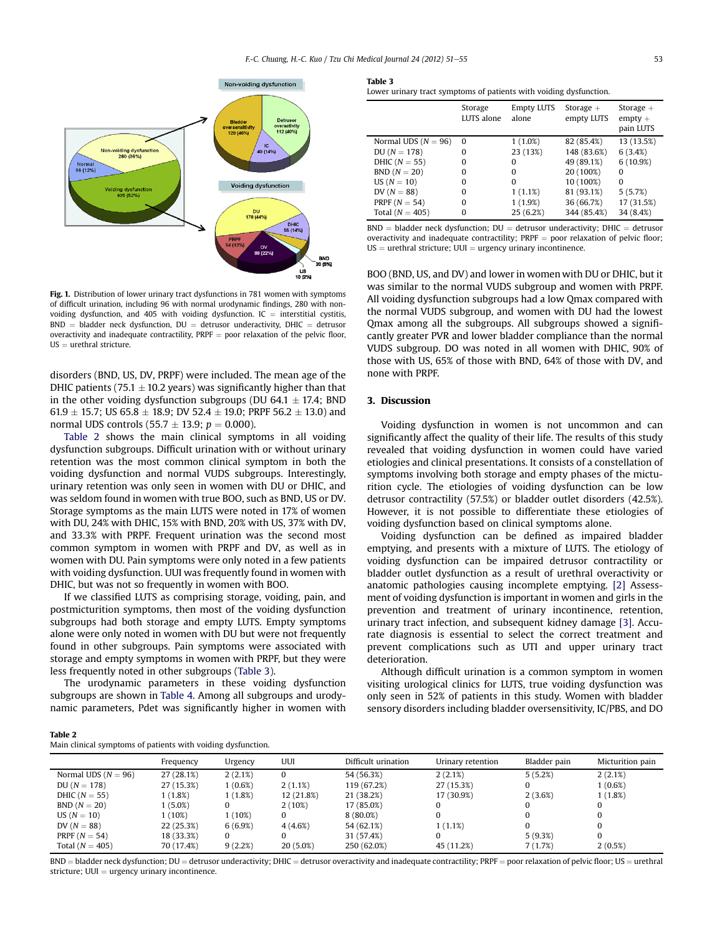<span id="page-2-0"></span>

Fig. 1. Distribution of lower urinary tract dysfunctions in 781 women with symptoms of difficult urination, including 96 with normal urodynamic findings, 280 with nonvoiding dysfunction, and 405 with voiding dysfunction. IC  $=$  interstitial cystitis,  $BND =$  bladder neck dysfunction,  $DU =$  detrusor underactivity, DHIC = detrusor overactivity and inadequate contractility,  $PRPF = poor$  relaxation of the pelvic floor,  $US =$  urethral stricture.

disorders (BND, US, DV, PRPF) were included. The mean age of the DHIC patients (75.1  $\pm$  10.2 years) was significantly higher than that in the other voiding dysfunction subgroups (DU 64.1  $\pm$  17.4; BND  $61.9 \pm 15.7$ ; US  $65.8 \pm 18.9$ ; DV  $52.4 \pm 19.0$ ; PRPF  $56.2 \pm 13.0$ ) and normal UDS controls (55.7  $\pm$  13.9;  $p = 0.000$ ).

Table 2 shows the main clinical symptoms in all voiding dysfunction subgroups. Difficult urination with or without urinary retention was the most common clinical symptom in both the voiding dysfunction and normal VUDS subgroups. Interestingly, urinary retention was only seen in women with DU or DHIC, and was seldom found in women with true BOO, such as BND, US or DV. Storage symptoms as the main LUTS were noted in 17% of women with DU, 24% with DHIC, 15% with BND, 20% with US, 37% with DV, and 33.3% with PRPF. Frequent urination was the second most common symptom in women with PRPF and DV, as well as in women with DU. Pain symptoms were only noted in a few patients with voiding dysfunction. UUI was frequently found in women with DHIC, but was not so frequently in women with BOO.

If we classified LUTS as comprising storage, voiding, pain, and postmicturition symptoms, then most of the voiding dysfunction subgroups had both storage and empty LUTS. Empty symptoms alone were only noted in women with DU but were not frequently found in other subgroups. Pain symptoms were associated with storage and empty symptoms in women with PRPF, but they were less frequently noted in other subgroups (Table 3).

The urodynamic parameters in these voiding dysfunction subgroups are shown in [Table 4.](#page-3-0) Among all subgroups and urodynamic parameters, Pdet was significantly higher in women with

| Table 3 |  |  |
|---------|--|--|
|         |  |  |

Lower urinary tract symptoms of patients with voiding dysfunction.

|                         | Storage<br>LUTS alone | <b>Empty LUTS</b><br>alone | Storage $+$<br>empty LUTS | Storage $+$<br>$empty +$<br>pain LUTS |
|-------------------------|-----------------------|----------------------------|---------------------------|---------------------------------------|
| Normal UDS ( $N = 96$ ) | $\Omega$              | $1(1.0\%)$                 | 82 (85.4%)                | 13 (13.5%)                            |
| DU $(N = 178)$          | 0                     | 23 (13%)                   | 148 (83.6%)               | 6(3.4%)                               |
| DHIC $(N = 55)$         | $\Omega$              | 0                          | 49 (89.1%)                | 6(10.9%)                              |
| $BND (N = 20)$          | $\Omega$              | 0                          | 20 (100%)                 | $\Omega$                              |
| US $(N = 10)$           | $\Omega$              | O                          | 10 (100%)                 | $\Omega$                              |
| DV $(N = 88)$           | $\Omega$              | 1(1.1%)                    | 81 (93.1%)                | 5(5.7%)                               |
| PRPF $(N = 54)$         | 0                     | 1(1.9%)                    | 36 (66.7%)                | 17 (31.5%)                            |
| Total $(N = 405)$       | 0                     | 25(6.2%)                   | 344 (85.4%)               | 34 (8.4%)                             |

 $BND =$  bladder neck dysfunction;  $DU =$  detrusor underactivity; DHIC = detrusor overactivity and inadequate contractility;  $PRPF = poor$  relaxation of pelvic floor;  $US =$  urethral stricture;  $UUI =$  urgency urinary incontinence.

BOO (BND, US, and DV) and lower in women with DU or DHIC, but it was similar to the normal VUDS subgroup and women with PRPF. All voiding dysfunction subgroups had a low Qmax compared with the normal VUDS subgroup, and women with DU had the lowest Qmax among all the subgroups. All subgroups showed a significantly greater PVR and lower bladder compliance than the normal VUDS subgroup. DO was noted in all women with DHIC, 90% of those with US, 65% of those with BND, 64% of those with DV, and none with PRPF.

#### 3. Discussion

Voiding dysfunction in women is not uncommon and can significantly affect the quality of their life. The results of this study revealed that voiding dysfunction in women could have varied etiologies and clinical presentations. It consists of a constellation of symptoms involving both storage and empty phases of the micturition cycle. The etiologies of voiding dysfunction can be low detrusor contractility (57.5%) or bladder outlet disorders (42.5%). However, it is not possible to differentiate these etiologies of voiding dysfunction based on clinical symptoms alone.

Voiding dysfunction can be defined as impaired bladder emptying, and presents with a mixture of LUTS. The etiology of voiding dysfunction can be impaired detrusor contractility or bladder outlet dysfunction as a result of urethral overactivity or anatomic pathologies causing incomplete emptying. [\[2\]](#page-4-0) Assessment of voiding dysfunction is important in women and girls in the prevention and treatment of urinary incontinence, retention, urinary tract infection, and subsequent kidney damage [\[3\]](#page-4-0). Accurate diagnosis is essential to select the correct treatment and prevent complications such as UTI and upper urinary tract deterioration.

Although difficult urination is a common symptom in women visiting urological clinics for LUTS, true voiding dysfunction was only seen in 52% of patients in this study. Women with bladder sensory disorders including bladder oversensitivity, IC/PBS, and DO

#### Table 2

| Main clinical symptoms of patients with voiding dysfunction. |  |  |
|--------------------------------------------------------------|--|--|
|                                                              |  |  |

|                         | Frequency  | Urgency    | UUI         | Difficult urination | Urinary retention | Bladder pain | Micturition pain |
|-------------------------|------------|------------|-------------|---------------------|-------------------|--------------|------------------|
| Normal UDS ( $N = 96$ ) | 27 (28.1%) | 2(2.1%)    |             | 54 (56.3%)          | 2(2.1%)           | 5(5.2%)      | 2(2.1%)          |
| DU $(N = 178)$          | 27 (15.3%) | $1(0.6\%)$ | 2(1.1%)     | 119 (67.2%)         | 27 (15.3%)        |              | $1(0.6\%)$       |
| DHIC $(N = 55)$         | 1 (1.8%)   | 1(1.8%)    | 12 (21.8%)  | 21 (38.2%)          | 17 (30.9%)        | 2(3.6%)      | 1(1.8%)          |
| $BND (N = 20)$          | 1 (5.0%)   |            | $2(10\%)$   | 17 (85.0%)          |                   |              |                  |
| US $(N = 10)$           | l (10%)    | 1(10%)     |             | $8(80.0\%)$         |                   |              |                  |
| DV $(N = 88)$           | 22 (25.3%) | 6(6.9%)    | 4(4.6%)     | 54 (62.1%)          | 1 (1.1%)          |              |                  |
| PRPF $(N = 54)$         | 18 (33.3%) |            |             | 31 (57.4%)          |                   | 5(9.3%)      |                  |
| Total $(N = 405)$       | 70 (17.4%) | 9(2.2%)    | $20(5.0\%)$ | 250 (62.0%)         | 45 (11.2%)        | 7(1.7%)      | $2(0.5\%)$       |

BND = bladder neck dysfunction; DU = detrusor underactivity; DHIC = detrusor overactivity and inadequate contractility; PRPF = poor relaxation of pelvic floor; US = urethral stricture;  $UUI =$  urgency urinary incontinence.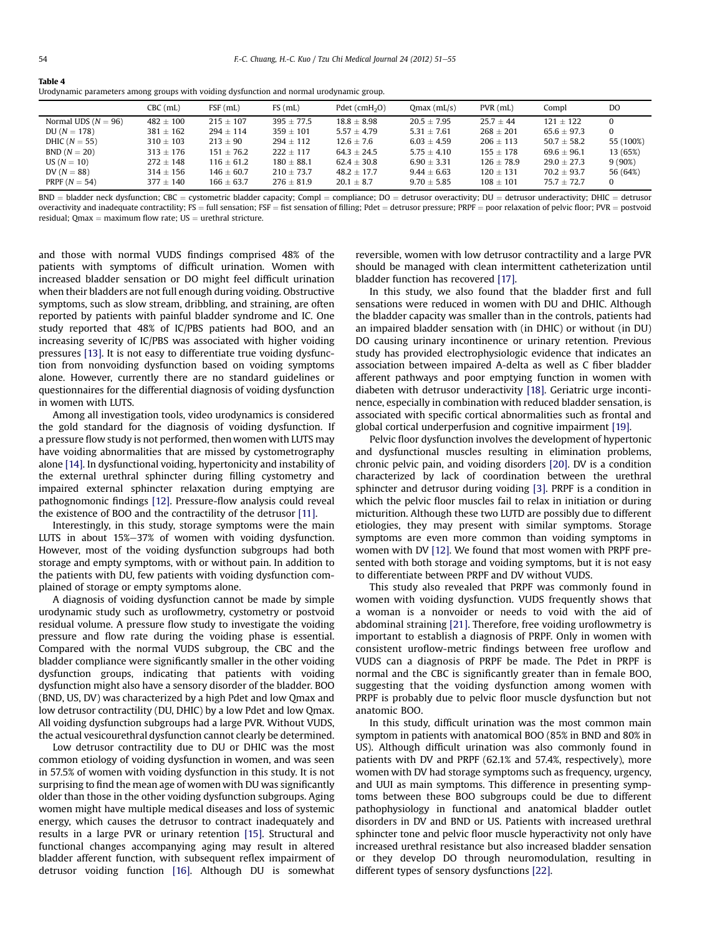<span id="page-3-0"></span>Table 4

|                         | CBC (mL)      | FSF (mL)       | $FS$ ( $mL$ )  | Pdet $(cmH2O)$  | $Qmax$ ( $mL/s$ ) | $PVR$ (mL)    | Compl           | D <sub>O</sub> |
|-------------------------|---------------|----------------|----------------|-----------------|-------------------|---------------|-----------------|----------------|
| Normal UDS ( $N = 96$ ) | $482 \pm 100$ | $215 + 107$    | $395 + 77.5$   | $18.8 \pm 8.98$ | $20.5 \pm 7.95$   | $25.7 + 44$   | $121 + 122$     | 0              |
| DU $(N = 178)$          | $381 \pm 162$ | $294 + 114$    | $359 + 101$    | $5.57 + 4.79$   | $5.31 + 7.61$     | $268 + 201$   | $65.6 + 97.3$   | 0              |
| DHIC $(N = 55)$         | $310 \pm 103$ | $213 \pm 90$   | $294 \pm 112$  | $12.6 \pm 7.6$  | $6.03 \pm 4.59$   | $206 \pm 113$ | $50.7 \pm 58.2$ | 55 (100%)      |
| $BND (N = 20)$          | $313 + 176$   | $151 \pm 76.2$ | $222 + 117$    | $64.3 + 24.5$   | $5.75 + 4.10$     | $155 + 178$   | $69.6 \pm 96.1$ | 13 (65%)       |
| US $(N = 10)$           | $272 \pm 148$ | $116 \pm 61.2$ | $180 \pm 88.1$ | $62.4 + 30.8$   | $6.90 \pm 3.31$   | $126 + 78.9$  | $29.0 \pm 27.3$ | 9(90%)         |
| DV $(N = 88)$           | $314 \pm 156$ | $146 \pm 60.7$ | $210 + 73.7$   | $48.2 + 17.7$   | $9.44 \pm 6.63$   | $120 \pm 131$ | $70.2 \pm 93.7$ | 56 (64%)       |
| PRPF $(N = 54)$         | $377 + 140$   | $166 + 63.7$   | $276 + 81.9$   | $20.1 + 8.7$    | $9.70 + 5.85$     | $108 + 101$   | $75.7 + 72.7$   | 0              |

|  | Urodynamic parameters among groups with voiding dysfunction and normal urodynamic group. |  |  |  |
|--|------------------------------------------------------------------------------------------|--|--|--|
|--|------------------------------------------------------------------------------------------|--|--|--|

 $BND =$  bladder neck dysfunction; CBC = cystometric bladder capacity; Compl = compliance;  $DO =$  detrusor overactivity;  $DU =$  detrusor underactivity; DHIC = detrusor overactivity and inadequate contractility; FS = full sensation; FSF = fist sensation of filling; Pdet = detrusor pressure; PRPF = poor relaxation of pelvic floor; PVR = postvoid residual; Qmax = maximum flow rate;  $US =$  urethral stricture.

and those with normal VUDS findings comprised 48% of the patients with symptoms of difficult urination. Women with increased bladder sensation or DO might feel difficult urination when their bladders are not full enough during voiding. Obstructive symptoms, such as slow stream, dribbling, and straining, are often reported by patients with painful bladder syndrome and IC. One study reported that 48% of IC/PBS patients had BOO, and an increasing severity of IC/PBS was associated with higher voiding pressures [\[13\]](#page-4-0). It is not easy to differentiate true voiding dysfunction from nonvoiding dysfunction based on voiding symptoms alone. However, currently there are no standard guidelines or questionnaires for the differential diagnosis of voiding dysfunction in women with LUTS.

Among all investigation tools, video urodynamics is considered the gold standard for the diagnosis of voiding dysfunction. If a pressure flow study is not performed, then women with LUTS may have voiding abnormalities that are missed by cystometrography alone [\[14\]](#page-4-0). In dysfunctional voiding, hypertonicity and instability of the external urethral sphincter during filling cystometry and impaired external sphincter relaxation during emptying are pathognomonic findings [\[12\]](#page-4-0). Pressure-flow analysis could reveal the existence of BOO and the contractility of the detrusor [\[11\].](#page-4-0)

Interestingly, in this study, storage symptoms were the main LUTS in about  $15\% - 37\%$  of women with voiding dysfunction. However, most of the voiding dysfunction subgroups had both storage and empty symptoms, with or without pain. In addition to the patients with DU, few patients with voiding dysfunction complained of storage or empty symptoms alone.

A diagnosis of voiding dysfunction cannot be made by simple urodynamic study such as uroflowmetry, cystometry or postvoid residual volume. A pressure flow study to investigate the voiding pressure and flow rate during the voiding phase is essential. Compared with the normal VUDS subgroup, the CBC and the bladder compliance were significantly smaller in the other voiding dysfunction groups, indicating that patients with voiding dysfunction might also have a sensory disorder of the bladder. BOO (BND, US, DV) was characterized by a high Pdet and low Qmax and low detrusor contractility (DU, DHIC) by a low Pdet and low Qmax. All voiding dysfunction subgroups had a large PVR. Without VUDS, the actual vesicourethral dysfunction cannot clearly be determined.

Low detrusor contractility due to DU or DHIC was the most common etiology of voiding dysfunction in women, and was seen in 57.5% of women with voiding dysfunction in this study. It is not surprising to find the mean age of women with DU was significantly older than those in the other voiding dysfunction subgroups. Aging women might have multiple medical diseases and loss of systemic energy, which causes the detrusor to contract inadequately and results in a large PVR or urinary retention [\[15\]](#page-4-0). Structural and functional changes accompanying aging may result in altered bladder afferent function, with subsequent reflex impairment of detrusor voiding function [\[16\]](#page-4-0). Although DU is somewhat reversible, women with low detrusor contractility and a large PVR should be managed with clean intermittent catheterization until bladder function has recovered [\[17\].](#page-4-0)

In this study, we also found that the bladder first and full sensations were reduced in women with DU and DHIC. Although the bladder capacity was smaller than in the controls, patients had an impaired bladder sensation with (in DHIC) or without (in DU) DO causing urinary incontinence or urinary retention. Previous study has provided electrophysiologic evidence that indicates an association between impaired A-delta as well as C fiber bladder afferent pathways and poor emptying function in women with diabeten with detrusor underactivity [\[18\].](#page-4-0) Geriatric urge incontinence, especially in combination with reduced bladder sensation, is associated with specific cortical abnormalities such as frontal and global cortical underperfusion and cognitive impairment [\[19\]](#page-4-0).

Pelvic floor dysfunction involves the development of hypertonic and dysfunctional muscles resulting in elimination problems, chronic pelvic pain, and voiding disorders [\[20\].](#page-4-0) DV is a condition characterized by lack of coordination between the urethral sphincter and detrusor during voiding [\[3\]](#page-4-0). PRPF is a condition in which the pelvic floor muscles fail to relax in initiation or during micturition. Although these two LUTD are possibly due to different etiologies, they may present with similar symptoms. Storage symptoms are even more common than voiding symptoms in women with DV [\[12\]](#page-4-0). We found that most women with PRPF presented with both storage and voiding symptoms, but it is not easy to differentiate between PRPF and DV without VUDS.

This study also revealed that PRPF was commonly found in women with voiding dysfunction. VUDS frequently shows that a woman is a nonvoider or needs to void with the aid of abdominal straining [\[21\].](#page-4-0) Therefore, free voiding uroflowmetry is important to establish a diagnosis of PRPF. Only in women with consistent uroflow-metric findings between free uroflow and VUDS can a diagnosis of PRPF be made. The Pdet in PRPF is normal and the CBC is significantly greater than in female BOO, suggesting that the voiding dysfunction among women with PRPF is probably due to pelvic floor muscle dysfunction but not anatomic BOO.

In this study, difficult urination was the most common main symptom in patients with anatomical BOO (85% in BND and 80% in US). Although difficult urination was also commonly found in patients with DV and PRPF (62.1% and 57.4%, respectively), more women with DV had storage symptoms such as frequency, urgency, and UUI as main symptoms. This difference in presenting symptoms between these BOO subgroups could be due to different pathophysiology in functional and anatomical bladder outlet disorders in DV and BND or US. Patients with increased urethral sphincter tone and pelvic floor muscle hyperactivity not only have increased urethral resistance but also increased bladder sensation or they develop DO through neuromodulation, resulting in different types of sensory dysfunctions [\[22\]](#page-4-0).